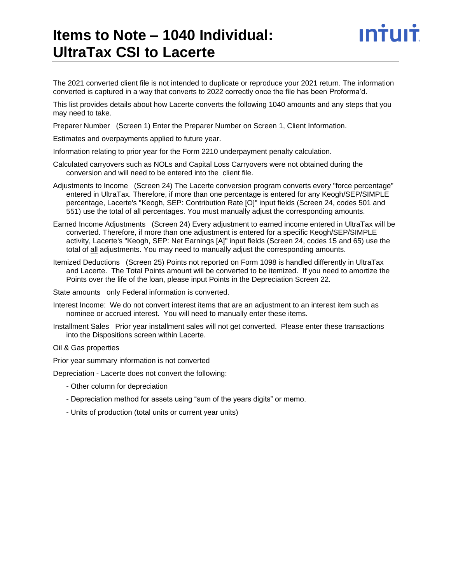# **Items to Note – 1040 Individual: UltraTax CSI to Lacerte**

INTUIT

The 2021 converted client file is not intended to duplicate or reproduce your 2021 return. The information converted is captured in a way that converts to 2022 correctly once the file has been Proforma'd.

This list provides details about how Lacerte converts the following 1040 amounts and any steps that you may need to take.

Preparer Number (Screen 1) Enter the Preparer Number on Screen 1, Client Information.

Estimates and overpayments applied to future year.

Information relating to prior year for the Form 2210 underpayment penalty calculation.

- Calculated carryovers such as NOLs and Capital Loss Carryovers were not obtained during the conversion and will need to be entered into the client file.
- Adjustments to Income (Screen 24) The Lacerte conversion program converts every "force percentage" entered in UltraTax. Therefore, if more than one percentage is entered for any Keogh/SEP/SIMPLE percentage, Lacerte's "Keogh, SEP: Contribution Rate [O]" input fields (Screen 24, codes 501 and 551) use the total of all percentages. You must manually adjust the corresponding amounts.
- Earned Income Adjustments (Screen 24) Every adjustment to earned income entered in UltraTax will be converted. Therefore, if more than one adjustment is entered for a specific Keogh/SEP/SIMPLE activity, Lacerte's "Keogh, SEP: Net Earnings [A]" input fields (Screen 24, codes 15 and 65) use the total of all adjustments. You may need to manually adjust the corresponding amounts.
- Itemized Deductions (Screen 25) Points not reported on Form 1098 is handled differently in UltraTax and Lacerte. The Total Points amount will be converted to be itemized. If you need to amortize the Points over the life of the loan, please input Points in the Depreciation Screen 22.

State amounts only Federal information is converted.

- Interest Income: We do not convert interest items that are an adjustment to an interest item such as nominee or accrued interest. You will need to manually enter these items.
- Installment Sales Prior year installment sales will not get converted. Please enter these transactions into the Dispositions screen within Lacerte.
- Oil & Gas properties

Prior year summary information is not converted

Depreciation - Lacerte does not convert the following:

- Other column for depreciation
- Depreciation method for assets using "sum of the years digits" or memo.
- Units of production (total units or current year units)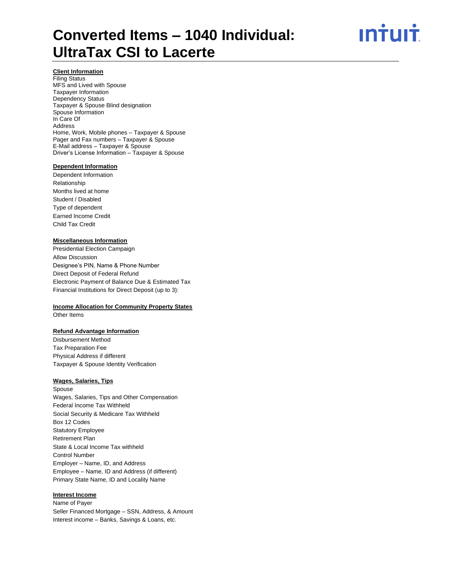ın†ılı†

# **Client Information**

Filing Status MFS and Lived with Spouse Taxpayer Information Dependency Status Taxpayer & Spouse Blind designation Spouse Information In Care Of Address Home, Work, Mobile phones – Taxpayer & Spouse Pager and Fax numbers – Taxpayer & Spouse E-Mail address – Taxpayer & Spouse Driver's License Information – Taxpayer & Spouse

#### **Dependent Information**

Dependent Information Relationship Months lived at home Student / Disabled Type of dependent Earned Income Credit Child Tax Credit

#### **Miscellaneous Information**

Presidential Election Campaign Allow Discussion Designee's PIN, Name & Phone Number Direct Deposit of Federal Refund Electronic Payment of Balance Due & Estimated Tax Financial Institutions for Direct Deposit (up to 3):

#### **Income Allocation for Community Property States**

Other Items

### **Refund Advantage Information**

Disbursement Method Tax Preparation Fee Physical Address if different Taxpayer & Spouse Identity Verification

### **Wages, Salaries, Tips**

Spouse Wages, Salaries, Tips and Other Compensation Federal Income Tax Withheld Social Security & Medicare Tax Withheld Box 12 Codes Statutory Employee Retirement Plan State & Local Income Tax withheld Control Number Employer – Name, ID, and Address Employee – Name, ID and Address (if different) Primary State Name, ID and Locality Name

#### **Interest Income**

Name of Payer Seller Financed Mortgage – SSN, Address, & Amount Interest income – Banks, Savings & Loans, etc.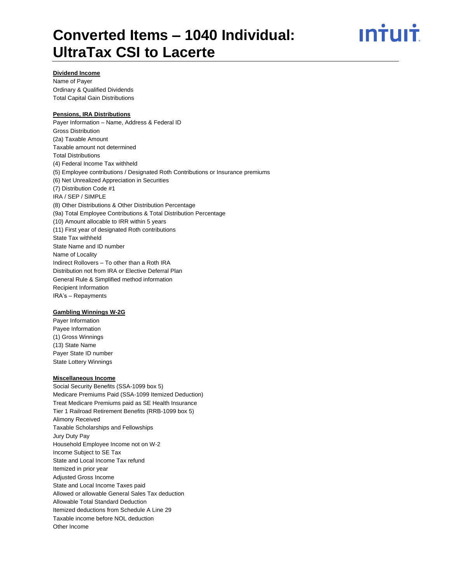<u>ıntuıt</u>

### **Dividend Income**

Name of Payer Ordinary & Qualified Dividends Total Capital Gain Distributions

### **Pensions, IRA Distributions**

Payer Information – Name, Address & Federal ID Gross Distribution (2a) Taxable Amount Taxable amount not determined Total Distributions (4) Federal Income Tax withheld (5) Employee contributions / Designated Roth Contributions or Insurance premiums (6) Net Unrealized Appreciation in Securities (7) Distribution Code #1 IRA / SEP / SIMPLE (8) Other Distributions & Other Distribution Percentage (9a) Total Employee Contributions & Total Distribution Percentage (10) Amount allocable to IRR within 5 years (11) First year of designated Roth contributions State Tax withheld State Name and ID number Name of Locality Indirect Rollovers – To other than a Roth IRA Distribution not from IRA or Elective Deferral Plan General Rule & Simplified method information Recipient Information IRA's – Repayments

# **Gambling Winnings W-2G**

Payer Information Payee Information (1) Gross Winnings (13) State Name Payer State ID number State Lottery Winnings

#### **Miscellaneous Income**

Social Security Benefits (SSA-1099 box 5) Medicare Premiums Paid (SSA-1099 Itemized Deduction) Treat Medicare Premiums paid as SE Health Insurance Tier 1 Railroad Retirement Benefits (RRB-1099 box 5) Alimony Received Taxable Scholarships and Fellowships Jury Duty Pay Household Employee Income not on W-2 Income Subject to SE Tax State and Local Income Tax refund Itemized in prior year Adjusted Gross Income State and Local Income Taxes paid Allowed or allowable General Sales Tax deduction Allowable Total Standard Deduction Itemized deductions from Schedule A Line 29 Taxable income before NOL deduction Other Income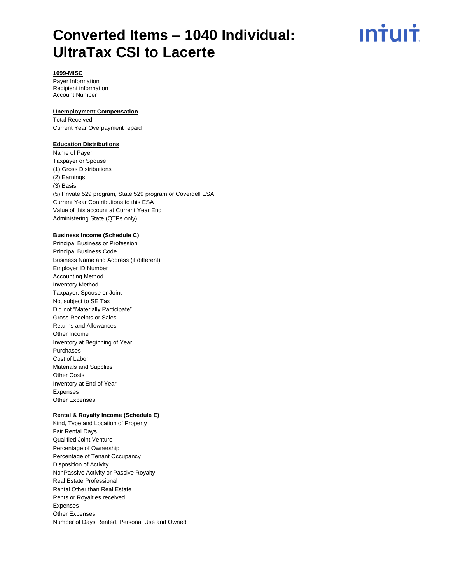<u>ıntuıt</u>

# **1099-MISC**

Payer Information Recipient information Account Number

### **Unemployment Compensation**

Total Received Current Year Overpayment repaid

#### **Education Distributions**

Name of Payer Taxpayer or Spouse (1) Gross Distributions (2) Earnings (3) Basis (5) Private 529 program, State 529 program or Coverdell ESA Current Year Contributions to this ESA Value of this account at Current Year End Administering State (QTPs only)

### **Business Income (Schedule C)**

Principal Business or Profession Principal Business Code Business Name and Address (if different) Employer ID Number Accounting Method Inventory Method Taxpayer, Spouse or Joint Not subject to SE Tax Did not "Materially Participate" Gross Receipts or Sales Returns and Allowances Other Income Inventory at Beginning of Year Purchases Cost of Labor Materials and Supplies Other Costs Inventory at End of Year Expenses Other Expenses

#### **Rental & Royalty Income (Schedule E)**

Kind, Type and Location of Property Fair Rental Days Qualified Joint Venture Percentage of Ownership Percentage of Tenant Occupancy Disposition of Activity NonPassive Activity or Passive Royalty Real Estate Professional Rental Other than Real Estate Rents or Royalties received Expenses Other Expenses Number of Days Rented, Personal Use and Owned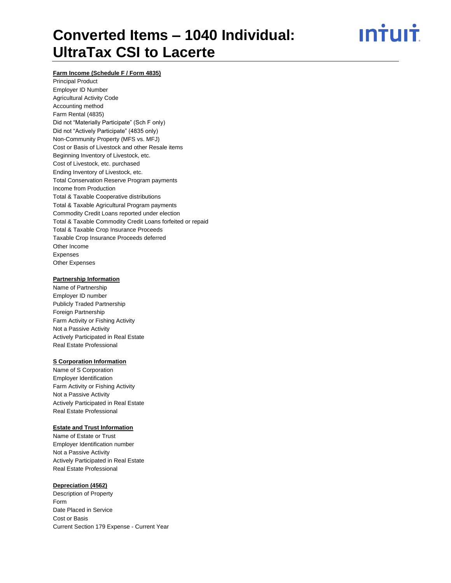<u>ıntuıt</u>

### **Farm Income (Schedule F / Form 4835)**

Principal Product Employer ID Number Agricultural Activity Code Accounting method Farm Rental (4835) Did not "Materially Participate" (Sch F only) Did not "Actively Participate" (4835 only) Non-Community Property (MFS vs. MFJ) Cost or Basis of Livestock and other Resale items Beginning Inventory of Livestock, etc. Cost of Livestock, etc. purchased Ending Inventory of Livestock, etc. Total Conservation Reserve Program payments Income from Production Total & Taxable Cooperative distributions Total & Taxable Agricultural Program payments Commodity Credit Loans reported under election Total & Taxable Commodity Credit Loans forfeited or repaid Total & Taxable Crop Insurance Proceeds Taxable Crop Insurance Proceeds deferred Other Income Expenses Other Expenses

#### **Partnership Information**

Name of Partnership Employer ID number Publicly Traded Partnership Foreign Partnership Farm Activity or Fishing Activity Not a Passive Activity Actively Participated in Real Estate Real Estate Professional

#### **S Corporation Information**

Name of S Corporation Employer Identification Farm Activity or Fishing Activity Not a Passive Activity Actively Participated in Real Estate Real Estate Professional

#### **Estate and Trust Information**

Name of Estate or Trust Employer Identification number Not a Passive Activity Actively Participated in Real Estate Real Estate Professional

#### **Depreciation (4562)**

Description of Property Form Date Placed in Service Cost or Basis Current Section 179 Expense - Current Year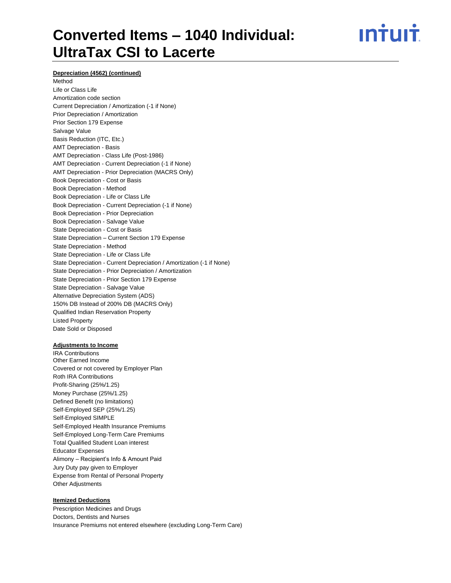ın<del>i</del>uı<del>i</del>

### **Depreciation (4562) (continued)**

# Method Life or Class Life Amortization code section Current Depreciation / Amortization (-1 if None) Prior Depreciation / Amortization Prior Section 179 Expense Salvage Value Basis Reduction (ITC, Etc.) AMT Depreciation - Basis AMT Depreciation - Class Life (Post-1986) AMT Depreciation - Current Depreciation (-1 if None) AMT Depreciation - Prior Depreciation (MACRS Only) Book Depreciation - Cost or Basis Book Depreciation - Method Book Depreciation - Life or Class Life Book Depreciation - Current Depreciation (-1 if None) Book Depreciation - Prior Depreciation Book Depreciation - Salvage Value State Depreciation - Cost or Basis State Depreciation – Current Section 179 Expense State Depreciation - Method State Depreciation - Life or Class Life State Depreciation - Current Depreciation / Amortization (-1 if None) State Depreciation - Prior Depreciation / Amortization State Depreciation - Prior Section 179 Expense State Depreciation - Salvage Value Alternative Depreciation System (ADS) 150% DB Instead of 200% DB (MACRS Only) Qualified Indian Reservation Property Listed Property Date Sold or Disposed

#### **Adjustments to Income**

IRA Contributions Other Earned Income Covered or not covered by Employer Plan Roth IRA Contributions Profit-Sharing (25%/1.25) Money Purchase (25%/1.25) Defined Benefit (no limitations) Self-Employed SEP (25%/1.25) Self-Employed SIMPLE Self-Employed Health Insurance Premiums Self-Employed Long-Term Care Premiums Total Qualified Student Loan interest Educator Expenses Alimony – Recipient's Info & Amount Paid Jury Duty pay given to Employer Expense from Rental of Personal Property Other Adjustments

#### **Itemized Deductions**

Prescription Medicines and Drugs Doctors, Dentists and Nurses Insurance Premiums not entered elsewhere (excluding Long-Term Care)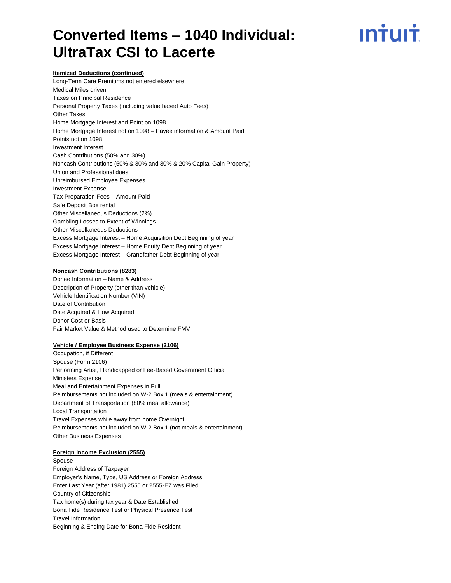# ın<del>i</del>uı<del>i</del>

#### **Itemized Deductions (continued)**

Long-Term Care Premiums not entered elsewhere Medical Miles driven Taxes on Principal Residence Personal Property Taxes (including value based Auto Fees) Other Taxes Home Mortgage Interest and Point on 1098 Home Mortgage Interest not on 1098 – Payee information & Amount Paid Points not on 1098 Investment Interest Cash Contributions (50% and 30%) Noncash Contributions (50% & 30% and 30% & 20% Capital Gain Property) Union and Professional dues Unreimbursed Employee Expenses Investment Expense Tax Preparation Fees – Amount Paid Safe Deposit Box rental Other Miscellaneous Deductions (2%) Gambling Losses to Extent of Winnings Other Miscellaneous Deductions Excess Mortgage Interest – Home Acquisition Debt Beginning of year Excess Mortgage Interest – Home Equity Debt Beginning of year Excess Mortgage Interest – Grandfather Debt Beginning of year

### **Noncash Contributions (8283)**

Donee Information – Name & Address Description of Property (other than vehicle) Vehicle Identification Number (VIN) Date of Contribution Date Acquired & How Acquired Donor Cost or Basis Fair Market Value & Method used to Determine FMV

#### **Vehicle / Employee Business Expense (2106)**

Occupation, if Different Spouse (Form 2106) Performing Artist, Handicapped or Fee-Based Government Official Ministers Expense Meal and Entertainment Expenses in Full Reimbursements not included on W-2 Box 1 (meals & entertainment) Department of Transportation (80% meal allowance) Local Transportation Travel Expenses while away from home Overnight Reimbursements not included on W-2 Box 1 (not meals & entertainment) Other Business Expenses

#### **Foreign Income Exclusion (2555)**

Spouse Foreign Address of Taxpayer Employer's Name, Type, US Address or Foreign Address Enter Last Year (after 1981) 2555 or 2555-EZ was Filed Country of Citizenship Tax home(s) during tax year & Date Established Bona Fide Residence Test or Physical Presence Test Travel Information Beginning & Ending Date for Bona Fide Resident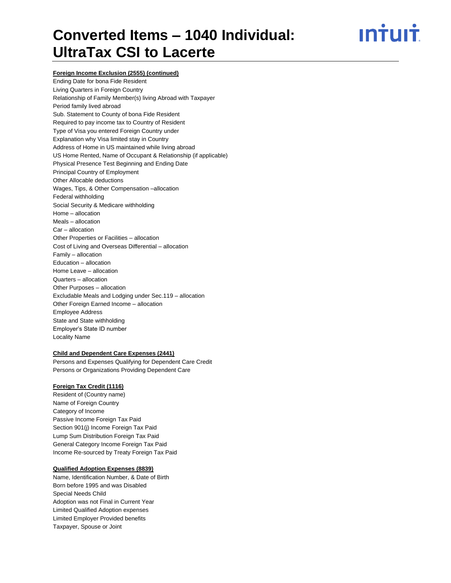# ın<del>i</del>uı<del>i</del>

### **Foreign Income Exclusion (2555) (continued)**

Ending Date for bona Fide Resident Living Quarters in Foreign Country Relationship of Family Member(s) living Abroad with Taxpayer Period family lived abroad Sub. Statement to County of bona Fide Resident Required to pay income tax to Country of Resident Type of Visa you entered Foreign Country under Explanation why Visa limited stay in Country Address of Home in US maintained while living abroad US Home Rented, Name of Occupant & Relationship (if applicable) Physical Presence Test Beginning and Ending Date Principal Country of Employment Other Allocable deductions Wages, Tips, & Other Compensation –allocation Federal withholding Social Security & Medicare withholding Home – allocation Meals – allocation Car – allocation Other Properties or Facilities – allocation Cost of Living and Overseas Differential – allocation Family – allocation Education – allocation Home Leave – allocation Quarters – allocation Other Purposes – allocation Excludable Meals and Lodging under Sec.119 – allocation Other Foreign Earned Income – allocation Employee Address State and State withholding Employer's State ID number Locality Name

#### **Child and Dependent Care Expenses (2441)**

Persons and Expenses Qualifying for Dependent Care Credit Persons or Organizations Providing Dependent Care

#### **Foreign Tax Credit (1116)**

Resident of (Country name) Name of Foreign Country Category of Income Passive Income Foreign Tax Paid Section 901(j) Income Foreign Tax Paid Lump Sum Distribution Foreign Tax Paid General Category Income Foreign Tax Paid Income Re-sourced by Treaty Foreign Tax Paid

#### **Qualified Adoption Expenses (8839)**

Name, Identification Number, & Date of Birth Born before 1995 and was Disabled Special Needs Child Adoption was not Final in Current Year Limited Qualified Adoption expenses Limited Employer Provided benefits Taxpayer, Spouse or Joint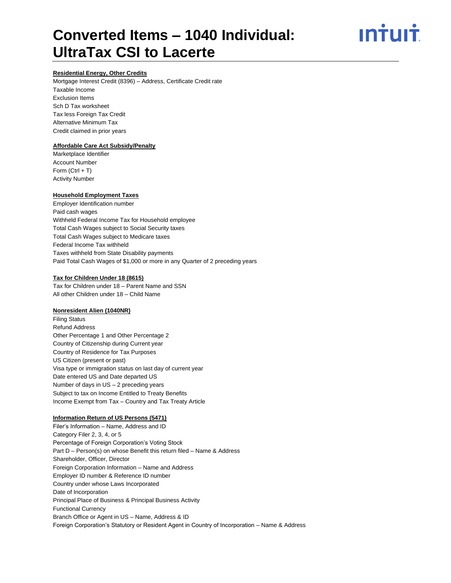# ın<del>i</del>uı<del>i</del>

### **Residential Energy, Other Credits**

Mortgage Interest Credit (8396) – Address, Certificate Credit rate Taxable Income Exclusion Items Sch D Tax worksheet Tax less Foreign Tax Credit Alternative Minimum Tax Credit claimed in prior years

# **Affordable Care Act Subsidy/Penalty**

Marketplace Identifier Account Number Form  $(CtrI + T)$ Activity Number

### **Household Employment Taxes**

Employer Identification number Paid cash wages Withheld Federal Income Tax for Household employee Total Cash Wages subject to Social Security taxes Total Cash Wages subject to Medicare taxes Federal Income Tax withheld Taxes withheld from State Disability payments Paid Total Cash Wages of \$1,000 or more in any Quarter of 2 preceding years

#### **Tax for Children Under 18 (8615)**

Tax for Children under 18 – Parent Name and SSN All other Children under 18 – Child Name

#### **Nonresident Alien (1040NR)**

Filing Status Refund Address Other Percentage 1 and Other Percentage 2 Country of Citizenship during Current year Country of Residence for Tax Purposes US Citizen (present or past) Visa type or immigration status on last day of current year Date entered US and Date departed US Number of days in US – 2 preceding years Subject to tax on Income Entitled to Treaty Benefits Income Exempt from Tax – Country and Tax Treaty Article

### **Information Return of US Persons (5471)**

Filer's Information – Name, Address and ID Category Filer 2, 3, 4, or 5 Percentage of Foreign Corporation's Voting Stock Part D – Person(s) on whose Benefit this return filed – Name & Address Shareholder, Officer, Director Foreign Corporation Information – Name and Address Employer ID number & Reference ID number Country under whose Laws Incorporated Date of Incorporation Principal Place of Business & Principal Business Activity Functional Currency Branch Office or Agent in US – Name, Address & ID Foreign Corporation's Statutory or Resident Agent in Country of Incorporation – Name & Address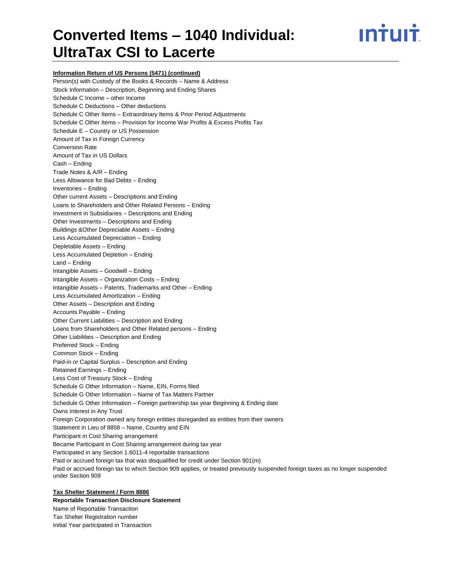# ın<del>i</del>uı<del>i</del>

**Information Return of US Persons (5471) (continued)** Person(s) with Custody of the Books & Records – Name & Address Stock Information – Description, Beginning and Ending Shares Schedule C Income – other Income Schedule C Deductions – Other deductions Schedule C Other Items – Extraordinary Items & Prior Period Adjustments Schedule C Other Items – Provision for Income War Profits & Excess Profits Tax Schedule E – Country or US Possession Amount of Tax in Foreign Currency Conversion Rate Amount of Tax in US Dollars Cash – Ending Trade Notes & A/R – Ending Less Allowance for Bad Debts – Ending Inventories – Ending Other current Assets – Descriptions and Ending Loans to Shareholders and Other Related Persons – Ending Investment in Subsidiaries – Descriptions and Ending Other Investments – Descriptions and Ending Buildings &Other Depreciable Assets – Ending Less Accumulated Depreciation – Ending Depletable Assets – Ending Less Accumulated Depletion – Ending Land – Ending Intangible Assets – Goodwill – Ending Intangible Assets – Organization Costs – Ending Intangible Assets – Patents, Trademarks and Other – Ending Less Accumulated Amortization – Ending Other Assets – Description and Ending Accounts Payable – Ending Other Current Liabilities – Description and Ending Loans from Shareholders and Other Related persons – Ending Other Liabilities – Description and Ending Preferred Stock – Ending Common Stock – Ending Paid-in or Capital Surplus – Description and Ending Retained Earnings – Ending Less Cost of Treasury Stock – Ending Schedule G Other Information – Name, EIN, Forms filed Schedule G Other Information – Name of Tax Matters Partner Schedule G Other Information – Foreign partnership tax year Beginning & Ending date Owns Interest in Any Trust Foreign Corporation owned any foreign entities disregarded as entities from their owners Statement in Lieu of 8858 – Name, Country and EIN Participant in Cost Sharing arrangement Became Participant in Cost Sharing arrangement during tax year Participated in any Section 1.6011-4 reportable transactions Paid or accrued foreign tax that was disqualified for credit under Section 901(m) Paid or accrued foreign tax to which Section 909 applies, or treated previously suspended foreign taxes as no longer suspended under Section 909

# **Tax Shelter Statement / Form 8886**

**Reportable Transaction Disclosure Statement** Name of Reportable Transaction Tax Shelter Registration number Initial Year participated in Transaction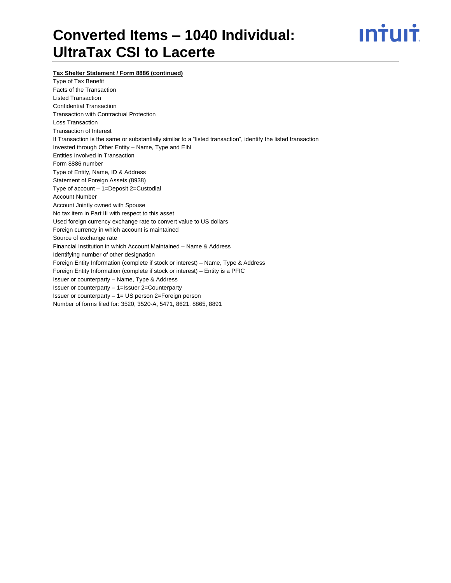

**Tax Shelter Statement / Form 8886 (continued)**

Type of Tax Benefit Facts of the Transaction Listed Transaction Confidential Transaction Transaction with Contractual Protection Loss Transaction Transaction of Interest If Transaction is the same or substantially similar to a "listed transaction", identify the listed transaction Invested through Other Entity – Name, Type and EIN Entities Involved in Transaction Form 8886 number Type of Entity, Name, ID & Address Statement of Foreign Assets (8938) Type of account – 1=Deposit 2=Custodial Account Number Account Jointly owned with Spouse No tax item in Part III with respect to this asset Used foreign currency exchange rate to convert value to US dollars Foreign currency in which account is maintained Source of exchange rate Financial Institution in which Account Maintained – Name & Address Identifying number of other designation Foreign Entity Information (complete if stock or interest) – Name, Type & Address Foreign Entity Information (complete if stock or interest) – Entity is a PFIC Issuer or counterparty – Name, Type & Address Issuer or counterparty – 1=Issuer 2=Counterparty Issuer or counterparty – 1= US person 2=Foreign person Number of forms filed for: 3520, 3520-A, 5471, 8621, 8865, 8891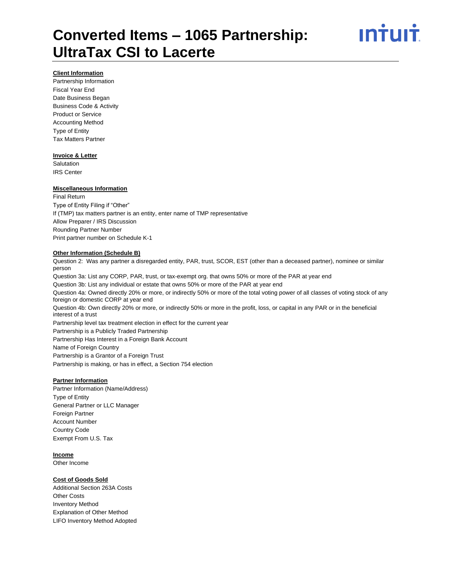

#### **Client Information**

Partnership Information Fiscal Year End Date Business Began Business Code & Activity Product or Service Accounting Method Type of Entity Tax Matters Partner

#### **Invoice & Letter**

**Salutation** IRS Center

#### **Miscellaneous Information**

Final Return Type of Entity Filing if "Other" If (TMP) tax matters partner is an entity, enter name of TMP representative Allow Preparer / IRS Discussion Rounding Partner Number Print partner number on Schedule K-1

#### **Other Information (Schedule B)**

Question 2: Was any partner a disregarded entity, PAR, trust, SCOR, EST (other than a deceased partner), nominee or similar person Question 3a: List any CORP, PAR, trust, or tax-exempt org. that owns 50% or more of the PAR at year end Question 3b: List any individual or estate that owns 50% or more of the PAR at year end Question 4a: Owned directly 20% or more, or indirectly 50% or more of the total voting power of all classes of voting stock of any foreign or domestic CORP at year end Question 4b: Own directly 20% or more, or indirectly 50% or more in the profit, loss, or capital in any PAR or in the beneficial interest of a trust Partnership level tax treatment election in effect for the current year Partnership is a Publicly Traded Partnership Partnership Has Interest in a Foreign Bank Account Name of Foreign Country Partnership is a Grantor of a Foreign Trust Partnership is making, or has in effect, a Section 754 election

#### **Partner Information**

Partner Information (Name/Address) Type of Entity General Partner or LLC Manager Foreign Partner Account Number Country Code Exempt From U.S. Tax

#### **Income**

Other Income

#### **Cost of Goods Sold**

Additional Section 263A Costs Other Costs Inventory Method Explanation of Other Method LIFO Inventory Method Adopted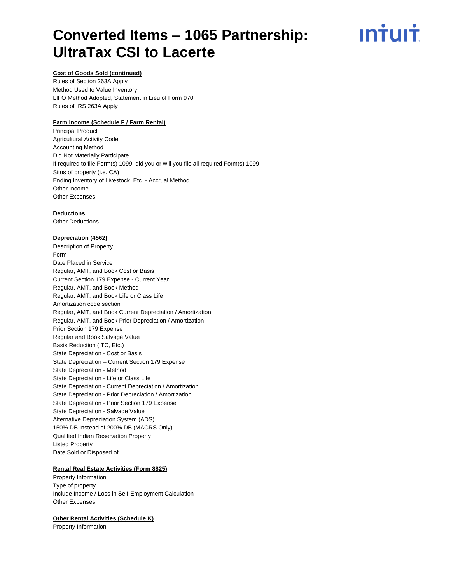# <u>**Intuit**</u>

# **Cost of Goods Sold (continued)**

Rules of Section 263A Apply Method Used to Value Inventory LIFO Method Adopted, Statement in Lieu of Form 970 Rules of IRS 263A Apply

## **Farm Income (Schedule F / Farm Rental)**

Principal Product Agricultural Activity Code Accounting Method Did Not Materially Participate If required to file Form(s) 1099, did you or will you file all required Form(s) 1099 Situs of property (i.e. CA) Ending Inventory of Livestock, Etc. - Accrual Method Other Income Other Expenses

## **Deductions**

Other Deductions

## **Depreciation (4562)**

Description of Property Form Date Placed in Service Regular, AMT, and Book Cost or Basis Current Section 179 Expense - Current Year Regular, AMT, and Book Method Regular, AMT, and Book Life or Class Life Amortization code section Regular, AMT, and Book Current Depreciation / Amortization Regular, AMT, and Book Prior Depreciation / Amortization Prior Section 179 Expense Regular and Book Salvage Value Basis Reduction (ITC, Etc.) State Depreciation - Cost or Basis State Depreciation – Current Section 179 Expense State Depreciation - Method State Depreciation - Life or Class Life State Depreciation - Current Depreciation / Amortization State Depreciation - Prior Depreciation / Amortization State Depreciation - Prior Section 179 Expense State Depreciation - Salvage Value Alternative Depreciation System (ADS) 150% DB Instead of 200% DB (MACRS Only) Qualified Indian Reservation Property Listed Property Date Sold or Disposed of

## **Rental Real Estate Activities (Form 8825)**

Property Information Type of property Include Income / Loss in Self-Employment Calculation Other Expenses

## **Other Rental Activities (Schedule K)**

Property Information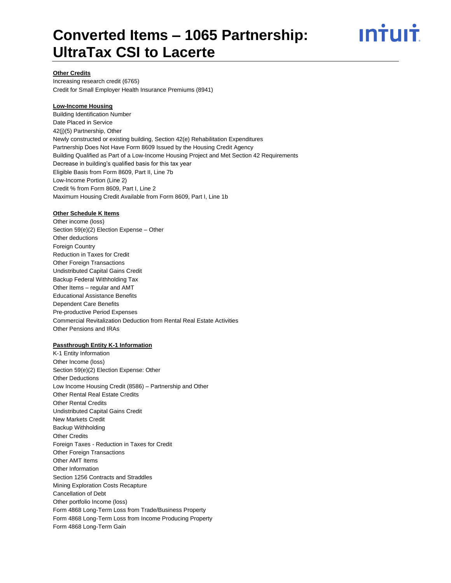

### **Other Credits**

Increasing research credit (6765) Credit for Small Employer Health Insurance Premiums (8941)

#### **Low-Income Housing**

Building Identification Number Date Placed in Service 42(j)(5) Partnership, Other Newly constructed or existing building, Section 42(e) Rehabilitation Expenditures Partnership Does Not Have Form 8609 Issued by the Housing Credit Agency Building Qualified as Part of a Low-Income Housing Project and Met Section 42 Requirements Decrease in building's qualified basis for this tax year Eligible Basis from Form 8609, Part II, Line 7b Low-Income Portion (Line 2) Credit % from Form 8609, Part I, Line 2 Maximum Housing Credit Available from Form 8609, Part I, Line 1b

#### **Other Schedule K Items**

Other income (loss) Section 59(e)(2) Election Expense – Other Other deductions Foreign Country Reduction in Taxes for Credit Other Foreign Transactions Undistributed Capital Gains Credit Backup Federal Withholding Tax Other Items – regular and AMT Educational Assistance Benefits Dependent Care Benefits Pre-productive Period Expenses Commercial Revitalization Deduction from Rental Real Estate Activities Other Pensions and IRAs

## **Passthrough Entity K-1 Information**

K-1 Entity Information Other Income (loss) Section 59(e)(2) Election Expense: Other Other Deductions Low Income Housing Credit (8586) – Partnership and Other Other Rental Real Estate Credits Other Rental Credits Undistributed Capital Gains Credit New Markets Credit Backup Withholding Other Credits Foreign Taxes - Reduction in Taxes for Credit Other Foreign Transactions Other AMT Items Other Information Section 1256 Contracts and Straddles Mining Exploration Costs Recapture Cancellation of Debt Other portfolio Income (loss) Form 4868 Long-Term Loss from Trade/Business Property Form 4868 Long-Term Loss from Income Producing Property Form 4868 Long-Term Gain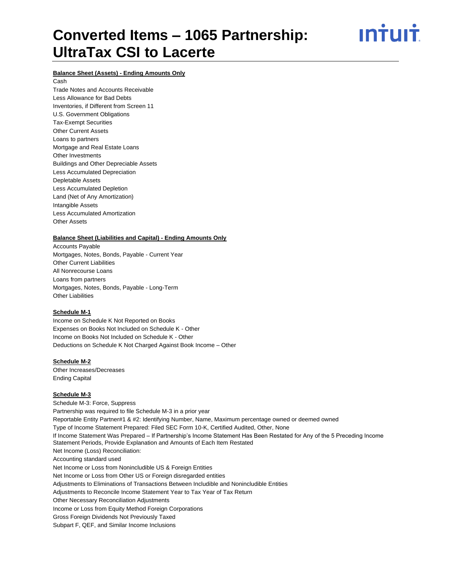ın†uı†

# **Balance Sheet (Assets) - Ending Amounts Only**

Cash Trade Notes and Accounts Receivable Less Allowance for Bad Debts Inventories, if Different from Screen 11 U.S. Government Obligations Tax-Exempt Securities Other Current Assets Loans to partners Mortgage and Real Estate Loans Other Investments Buildings and Other Depreciable Assets Less Accumulated Depreciation Depletable Assets Less Accumulated Depletion Land (Net of Any Amortization) Intangible Assets Less Accumulated Amortization Other Assets

#### **Balance Sheet (Liabilities and Capital) - Ending Amounts Only**

Accounts Payable Mortgages, Notes, Bonds, Payable - Current Year Other Current Liabilities All Nonrecourse Loans Loans from partners Mortgages, Notes, Bonds, Payable - Long-Term Other Liabilities

#### **Schedule M-1**

Income on Schedule K Not Reported on Books Expenses on Books Not Included on Schedule K - Other Income on Books Not Included on Schedule K - Other Deductions on Schedule K Not Charged Against Book Income – Other

### **Schedule M-2**

Other Increases/Decreases Ending Capital

#### **Schedule M-3**

Schedule M-3: Force, Suppress Partnership was required to file Schedule M-3 in a prior year Reportable Entity Partner#1 & #2: Identifying Number, Name, Maximum percentage owned or deemed owned Type of Income Statement Prepared: Filed SEC Form 10-K, Certified Audited, Other, None If Income Statement Was Prepared – If Partnership's Income Statement Has Been Restated for Any of the 5 Preceding Income Statement Periods, Provide Explanation and Amounts of Each Item Restated Net Income (Loss) Reconciliation: Accounting standard used Net Income or Loss from Nonincludible US & Foreign Entities Net Income or Loss from Other US or Foreign disregarded entities Adjustments to Eliminations of Transactions Between Includible and Nonincludible Entities Adjustments to Reconcile Income Statement Year to Tax Year of Tax Return Other Necessary Reconciliation Adjustments Income or Loss from Equity Method Foreign Corporations Gross Foreign Dividends Not Previously Taxed Subpart F, QEF, and Similar Income Inclusions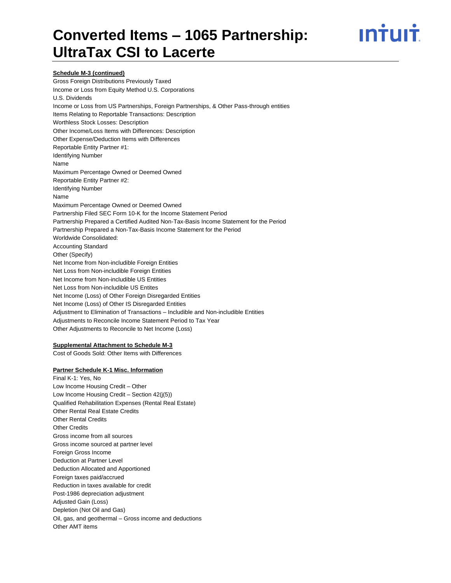

## **Schedule M-3 (continued)**

Gross Foreign Distributions Previously Taxed Income or Loss from Equity Method U.S. Corporations U.S. Dividends Income or Loss from US Partnerships, Foreign Partnerships, & Other Pass-through entities Items Relating to Reportable Transactions: Description Worthless Stock Losses: Description Other Income/Loss Items with Differences: Description Other Expense/Deduction Items with Differences Reportable Entity Partner #1: Identifying Number Name Maximum Percentage Owned or Deemed Owned Reportable Entity Partner #2: Identifying Number Name Maximum Percentage Owned or Deemed Owned Partnership Filed SEC Form 10-K for the Income Statement Period Partnership Prepared a Certified Audited Non-Tax-Basis Income Statement for the Period Partnership Prepared a Non-Tax-Basis Income Statement for the Period Worldwide Consolidated: Accounting Standard Other (Specify) Net Income from Non-includible Foreign Entities Net Loss from Non-includible Foreign Entities Net Income from Non-includible US Entities Net Loss from Non-includible US Entites Net Income (Loss) of Other Foreign Disregarded Entities Net Income (Loss) of Other IS Disregarded Entities Adjustment to Elimination of Transactions – Includible and Non-includible Entities Adjustments to Reconcile Income Statement Period to Tax Year Other Adjustments to Reconcile to Net Income (Loss)

#### **Supplemental Attachment to Schedule M-3**

Cost of Goods Sold: Other Items with Differences

#### **Partner Schedule K-1 Misc. Information**

Final K-1: Yes, No Low Income Housing Credit – Other Low Income Housing Credit – Section 42(j(5)) Qualified Rehabilitation Expenses (Rental Real Estate) Other Rental Real Estate Credits Other Rental Credits Other Credits Gross income from all sources Gross income sourced at partner level Foreign Gross Income Deduction at Partner Level Deduction Allocated and Apportioned Foreign taxes paid/accrued Reduction in taxes available for credit Post-1986 depreciation adjustment Adjusted Gain (Loss) Depletion (Not Oil and Gas) Oil, gas, and geothermal – Gross income and deductions Other AMT items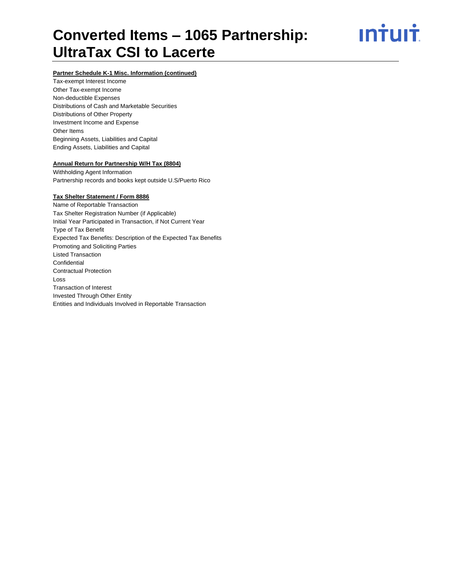

# **Partner Schedule K-1 Misc. Information (continued)**

Tax-exempt Interest Income Other Tax-exempt Income Non-deductible Expenses Distributions of Cash and Marketable Securities Distributions of Other Property Investment Income and Expense Other Items Beginning Assets, Liabilities and Capital Ending Assets, Liabilities and Capital

#### **Annual Return for Partnership W/H Tax (8804)**

Withholding Agent Information Partnership records and books kept outside U.S/Puerto Rico

#### **Tax Shelter Statement / Form 8886**

Name of Reportable Transaction Tax Shelter Registration Number (if Applicable) Initial Year Participated in Transaction, if Not Current Year Type of Tax Benefit Expected Tax Benefits: Description of the Expected Tax Benefits Promoting and Soliciting Parties Listed Transaction **Confidential** Contractual Protection Loss Transaction of Interest Invested Through Other Entity Entities and Individuals Involved in Reportable Transaction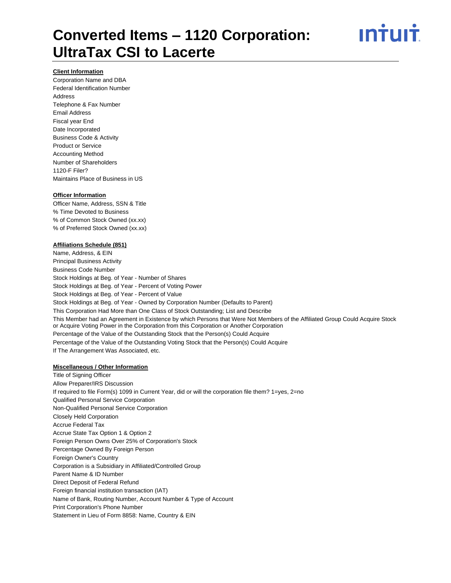

#### **Client Information**

Corporation Name and DBA Federal Identification Number Address Telephone & Fax Number Email Address Fiscal year End Date Incorporated Business Code & Activity Product or Service Accounting Method Number of Shareholders 1120-F Filer? Maintains Place of Business in US

#### **Officer Information**

Officer Name, Address, SSN & Title % Time Devoted to Business % of Common Stock Owned (xx.xx) % of Preferred Stock Owned (xx.xx)

### **Affiliations Schedule (851)**

Name, Address, & EIN Principal Business Activity Business Code Number Stock Holdings at Beg. of Year - Number of Shares Stock Holdings at Beg. of Year - Percent of Voting Power Stock Holdings at Beg. of Year - Percent of Value Stock Holdings at Beg. of Year - Owned by Corporation Number (Defaults to Parent) This Corporation Had More than One Class of Stock Outstanding; List and Describe This Member had an Agreement in Existence by which Persons that Were Not Members of the Affiliated Group Could Acquire Stock or Acquire Voting Power in the Corporation from this Corporation or Another Corporation Percentage of the Value of the Outstanding Stock that the Person(s) Could Acquire Percentage of the Value of the Outstanding Voting Stock that the Person(s) Could Acquire If The Arrangement Was Associated, etc.

#### **Miscellaneous / Other Information**

Title of Signing Officer Allow Preparer/IRS Discussion If required to file Form(s) 1099 in Current Year, did or will the corporation file them? 1=yes, 2=no Qualified Personal Service Corporation Non-Qualified Personal Service Corporation Closely Held Corporation Accrue Federal Tax Accrue State Tax Option 1 & Option 2 Foreign Person Owns Over 25% of Corporation's Stock Percentage Owned By Foreign Person Foreign Owner's Country Corporation is a Subsidiary in Affiliated/Controlled Group Parent Name & ID Number Direct Deposit of Federal Refund Foreign financial institution transaction (IAT) Name of Bank, Routing Number, Account Number & Type of Account Print Corporation's Phone Number Statement in Lieu of Form 8858: Name, Country & EIN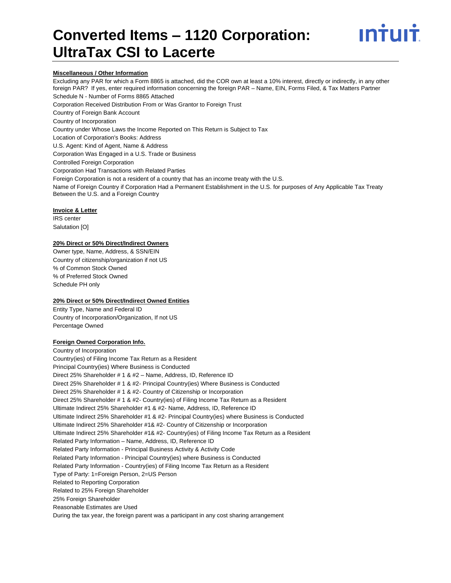

#### **Miscellaneous / Other Information**

Excluding any PAR for which a Form 8865 is attached, did the COR own at least a 10% interest, directly or indirectly, in any other foreign PAR? If yes, enter required information concerning the foreign PAR – Name, EIN, Forms Filed, & Tax Matters Partner Schedule N - Number of Forms 8865 Attached Corporation Received Distribution From or Was Grantor to Foreign Trust Country of Foreign Bank Account Country of Incorporation Country under Whose Laws the Income Reported on This Return is Subject to Tax Location of Corporation's Books: Address U.S. Agent: Kind of Agent, Name & Address Corporation Was Engaged in a U.S. Trade or Business Controlled Foreign Corporation Corporation Had Transactions with Related Parties Foreign Corporation is not a resident of a country that has an income treaty with the U.S. Name of Foreign Country if Corporation Had a Permanent Establishment in the U.S. for purposes of Any Applicable Tax Treaty Between the U.S. and a Foreign Country

#### **Invoice & Letter**

IRS center Salutation [O]

# **20% Direct or 50% Direct/Indirect Owners**

Owner type, Name, Address, & SSN/EIN Country of citizenship/organization if not US % of Common Stock Owned % of Preferred Stock Owned Schedule PH only

#### **20% Direct or 50% Direct/Indirect Owned Entities**

Entity Type, Name and Federal ID Country of Incorporation/Organization, If not US Percentage Owned

#### **Foreign Owned Corporation Info.**

Country of Incorporation Country(ies) of Filing Income Tax Return as a Resident Principal Country(ies) Where Business is Conducted Direct 25% Shareholder # 1 & #2 – Name, Address, ID, Reference ID Direct 25% Shareholder # 1 & #2- Principal Country(ies) Where Business is Conducted Direct 25% Shareholder # 1 & #2- Country of Citizenship or Incorporation Direct 25% Shareholder # 1 & #2- Country(ies) of Filing Income Tax Return as a Resident Ultimate Indirect 25% Shareholder #1 & #2- Name, Address, ID, Reference ID Ultimate Indirect 25% Shareholder #1 & #2- Principal Country(ies) where Business is Conducted Ultimate Indirect 25% Shareholder #1& #2- Country of Citizenship or Incorporation Ultimate Indirect 25% Shareholder #1& #2- Country(ies) of Filing Income Tax Return as a Resident Related Party Information – Name, Address, ID, Reference ID Related Party Information - Principal Business Activity & Activity Code Related Party Information - Principal Country(ies) where Business is Conducted Related Party Information - Country(ies) of Filing Income Tax Return as a Resident Type of Party: 1=Foreign Person, 2=US Person Related to Reporting Corporation Related to 25% Foreign Shareholder 25% Foreign Shareholder Reasonable Estimates are Used During the tax year, the foreign parent was a participant in any cost sharing arrangement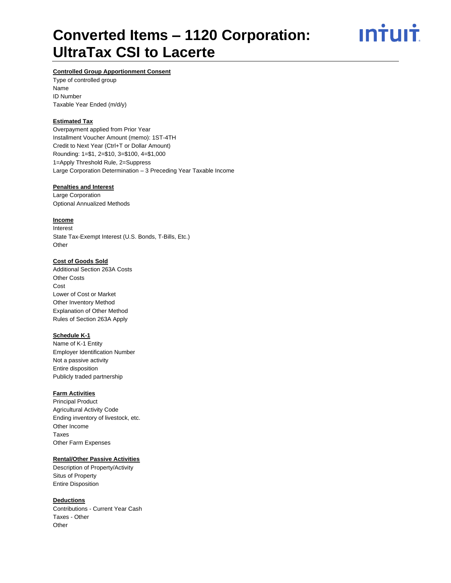ın<del>i</del>uı<del>i</del>

# **Controlled Group Apportionment Consent**

Type of controlled group Name ID Number Taxable Year Ended (m/d/y)

# **Estimated Tax**

Overpayment applied from Prior Year Installment Voucher Amount (memo): 1ST-4TH Credit to Next Year (Ctrl+T or Dollar Amount) Rounding: 1=\$1, 2=\$10, 3=\$100, 4=\$1,000 1=Apply Threshold Rule, 2=Suppress Large Corporation Determination – 3 Preceding Year Taxable Income

### **Penalties and Interest**

Large Corporation Optional Annualized Methods

# **Income**

Interest State Tax-Exempt Interest (U.S. Bonds, T-Bills, Etc.) **Other** 

## **Cost of Goods Sold**

Additional Section 263A Costs Other Costs Cost Lower of Cost or Market Other Inventory Method Explanation of Other Method Rules of Section 263A Apply

## **Schedule K-1**

Name of K-1 Entity Employer Identification Number Not a passive activity Entire disposition Publicly traded partnership

# **Farm Activities**

Principal Product Agricultural Activity Code Ending inventory of livestock, etc. Other Income Taxes Other Farm Expenses

### **Rental/Other Passive Activities**

Description of Property/Activity Situs of Property Entire Disposition

### **Deductions**

Contributions - Current Year Cash Taxes - Other **Other**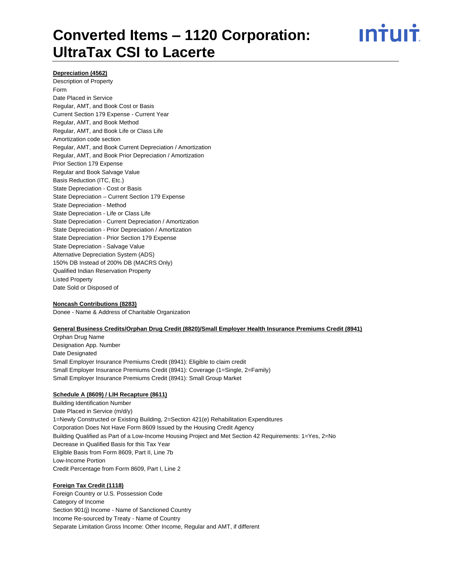

#### **Depreciation (4562)**

Description of Property Form Date Placed in Service Regular, AMT, and Book Cost or Basis Current Section 179 Expense - Current Year Regular, AMT, and Book Method Regular, AMT, and Book Life or Class Life Amortization code section Regular, AMT, and Book Current Depreciation / Amortization Regular, AMT, and Book Prior Depreciation / Amortization Prior Section 179 Expense Regular and Book Salvage Value Basis Reduction (ITC, Etc.) State Depreciation - Cost or Basis State Depreciation – Current Section 179 Expense State Depreciation - Method State Depreciation - Life or Class Life State Depreciation - Current Depreciation / Amortization State Depreciation - Prior Depreciation / Amortization State Depreciation - Prior Section 179 Expense State Depreciation - Salvage Value Alternative Depreciation System (ADS) 150% DB Instead of 200% DB (MACRS Only) Qualified Indian Reservation Property Listed Property Date Sold or Disposed of

### **Noncash Contributions (8283)**

Donee - Name & Address of Charitable Organization

#### **General Business Credits/Orphan Drug Credit (8820)/Small Employer Health Insurance Premiums Credit (8941)**

Orphan Drug Name Designation App. Number Date Designated Small Employer Insurance Premiums Credit (8941): Eligible to claim credit Small Employer Insurance Premiums Credit (8941): Coverage (1=Single, 2=Family) Small Employer Insurance Premiums Credit (8941): Small Group Market

#### **Schedule A (8609) / LIH Recapture (8611)**

Building Identification Number Date Placed in Service (m/d/y) 1=Newly Constructed or Existing Building, 2=Section 421(e) Rehabilitation Expenditures Corporation Does Not Have Form 8609 Issued by the Housing Credit Agency Building Qualified as Part of a Low-Income Housing Project and Met Section 42 Requirements: 1=Yes, 2=No Decrease in Qualified Basis for this Tax Year Eligible Basis from Form 8609, Part II, Line 7b Low-Income Portion Credit Percentage from Form 8609, Part I, Line 2

#### **Foreign Tax Credit (1118)**

Foreign Country or U.S. Possession Code Category of Income Section 901(j) Income - Name of Sanctioned Country Income Re-sourced by Treaty - Name of Country Separate Limitation Gross Income: Other Income, Regular and AMT, if different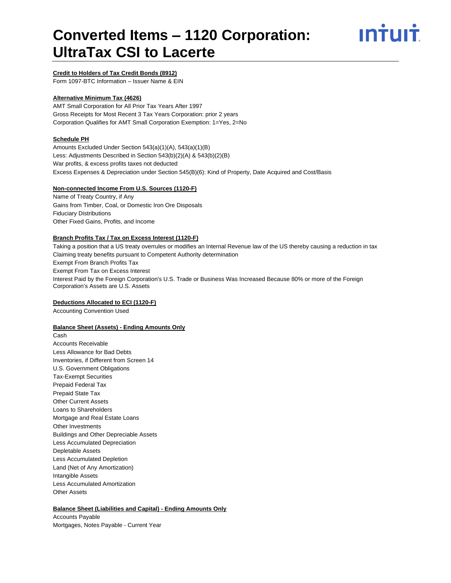

### **Credit to Holders of Tax Credit Bonds (8912)**

Form 1097-BTC Information – Issuer Name & EIN

## **Alternative Minimum Tax (4626)**

AMT Small Corporation for All Prior Tax Years After 1997 Gross Receipts for Most Recent 3 Tax Years Corporation: prior 2 years Corporation Qualifies for AMT Small Corporation Exemption: 1=Yes, 2=No

### **Schedule PH**

Amounts Excluded Under Section 543(a)(1)(A), 543(a)(1)(B) Less: Adjustments Described in Section 543(b)(2)(A) & 543(b)(2)(B) War profits, & excess profits taxes not deducted Excess Expenses & Depreciation under Section 545(B)(6): Kind of Property, Date Acquired and Cost/Basis

#### **Non-connected Income From U.S. Sources (1120-F)**

Name of Treaty Country, if Any Gains from Timber, Coal, or Domestic Iron Ore Disposals Fiduciary Distributions Other Fixed Gains, Profits, and Income

### **Branch Profits Tax / Tax on Excess Interest (1120-F)**

Taking a position that a US treaty overrules or modifies an Internal Revenue law of the US thereby causing a reduction in tax Claiming treaty benefits pursuant to Competent Authority determination Exempt From Branch Profits Tax Exempt From Tax on Excess Interest Interest Paid by the Foreign Corporation's U.S. Trade or Business Was Increased Because 80% or more of the Foreign Corporation's Assets are U.S. Assets

#### **Deductions Allocated to ECI (1120-F)**

Accounting Convention Used

#### **Balance Sheet (Assets) - Ending Amounts Only**

Cash Accounts Receivable Less Allowance for Bad Debts Inventories, if Different from Screen 14 U.S. Government Obligations Tax-Exempt Securities Prepaid Federal Tax Prepaid State Tax Other Current Assets Loans to Shareholders Mortgage and Real Estate Loans Other Investments Buildings and Other Depreciable Assets Less Accumulated Depreciation Depletable Assets Less Accumulated Depletion Land (Net of Any Amortization) Intangible Assets Less Accumulated Amortization Other Assets

# **Balance Sheet (Liabilities and Capital) - Ending Amounts Only**

Accounts Payable Mortgages, Notes Payable - Current Year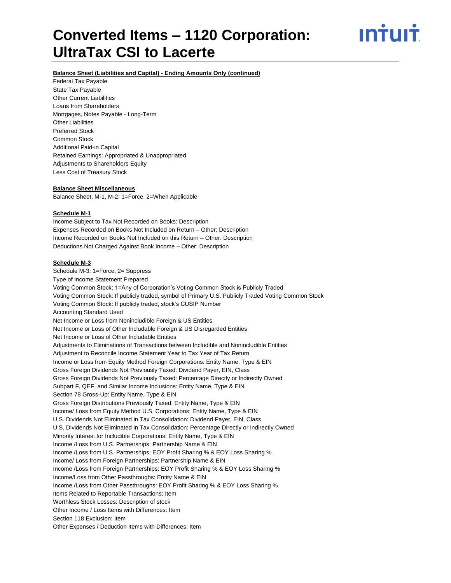# ın†uı†

### **Balance Sheet (Liabilities and Capital) - Ending Amounts Only (continued)**

Federal Tax Payable State Tax Payable Other Current Liabilities Loans from Shareholders Mortgages, Notes Payable - Long-Term Other Liabilities Preferred Stock Common Stock Additional Paid-in Capital Retained Earnings: Appropriated & Unappropriated Adjustments to Shareholders Equity Less Cost of Treasury Stock

#### **Balance Sheet Miscellaneous**

Balance Sheet, M-1, M-2: 1=Force, 2=When Applicable

#### **Schedule M-1**

Income Subject to Tax Not Recorded on Books: Description Expenses Recorded on Books Not Included on Return – Other: Description Income Recorded on Books Not Included on this Return – Other: Description Deductions Not Charged Against Book Income – Other: Description

### **Schedule M-3**

Schedule M-3: 1=Force, 2= Suppress Type of Income Statement Prepared Voting Common Stock: 1=Any of Corporation's Voting Common Stock is Publicly Traded Voting Common Stock: If publicly traded, symbol of Primary U.S. Publicly Traded Voting Common Stock Voting Common Stock: If publicly traded, stock's CUSIP Number Accounting Standard Used Net Income or Loss from Nonincludible Foreign & US Entities Net Income or Loss of Other Includable Foreign & US Disregarded Entities Net Income or Loss of Other Includable Entities Adjustments to Eliminations of Transactions between Includible and Nonincludible Entities Adjustment to Reconcile Income Statement Year to Tax Year of Tax Return Income or Loss from Equity Method Foreign Corporations: Entity Name, Type & EIN Gross Foreign Dividends Not Previously Taxed: Dividend Payer, EIN, Class Gross Foreign Dividends Not Previously Taxed: Percentage Directly or Indirectly Owned Subpart F, QEF, and Similar Income Inclusions: Entity Name, Type & EIN Section 78 Gross-Up: Entity Name, Type & EIN Gross Foreign Distributions Previously Taxed: Entity Name, Type & EIN Income/ Loss from Equity Method U.S. Corporations: Entity Name, Type & EIN U.S. Dividends Not Eliminated in Tax Consolidation: Dividend Payer, EIN, Class U.S. Dividends Not Eliminated in Tax Consolidation: Percentage Directly or Indirectly Owned Minority Interest for Includible Corporations: Entity Name, Type & EIN Income /Loss from U.S. Partnerships: Partnership Name & EIN Income /Loss from U.S. Partnerships: EOY Profit Sharing % & EOY Loss Sharing % Income/ Loss from Foreign Partnerships: Partnership Name & EIN Income /Loss from Foreign Partnerships: EOY Profit Sharing % & EOY Loss Sharing % Income/Loss from Other Passthroughs: Entity Name & EIN Income /Loss from Other Passthroughs: EOY Profit Sharing % & EOY Loss Sharing % Items Related to Reportable Transactions: Item Worthless Stock Losses: Description of stock Other Income / Loss Items with Differences: Item Section 118 Exclusion: Item Other Expenses / Deduction Items with Differences: Item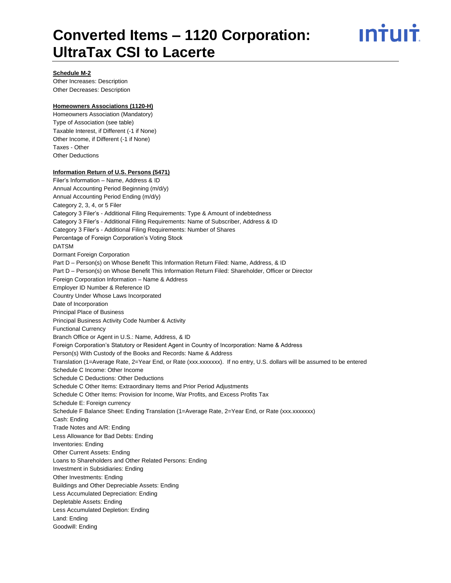

#### **Schedule M-2**

Other Increases: Description Other Decreases: Description

### **Homeowners Associations (1120-H)**

Homeowners Association (Mandatory) Type of Association (see table) Taxable Interest, if Different (-1 if None) Other Income, if Different (-1 if None) Taxes - Other Other Deductions

### **Information Return of U.S. Persons (5471)**

Filer's Information – Name, Address & ID Annual Accounting Period Beginning (m/d/y) Annual Accounting Period Ending (m/d/y) Category 2, 3, 4, or 5 Filer Category 3 Filer's - Additional Filing Requirements: Type & Amount of indebtedness Category 3 Filer's - Additional Filing Requirements: Name of Subscriber, Address & ID Category 3 Filer's - Additional Filing Requirements: Number of Shares Percentage of Foreign Corporation's Voting Stock DATSM Dormant Foreign Corporation Part D - Person(s) on Whose Benefit This Information Return Filed: Name, Address, & ID Part D – Person(s) on Whose Benefit This Information Return Filed: Shareholder, Officer or Director Foreign Corporation Information – Name & Address Employer ID Number & Reference ID Country Under Whose Laws Incorporated Date of Incorporation Principal Place of Business Principal Business Activity Code Number & Activity Functional Currency Branch Office or Agent in U.S.: Name, Address, & ID Foreign Corporation's Statutory or Resident Agent in Country of Incorporation: Name & Address Person(s) With Custody of the Books and Records: Name & Address Translation (1=Average Rate, 2=Year End, or Rate (xxx.xxxxxxx). If no entry, U.S. dollars will be assumed to be entered Schedule C Income: Other Income Schedule C Deductions: Other Deductions Schedule C Other Items: Extraordinary Items and Prior Period Adjustments Schedule C Other Items: Provision for Income, War Profits, and Excess Profits Tax Schedule E: Foreign currency Schedule F Balance Sheet: Ending Translation (1=Average Rate, 2=Year End, or Rate (xxx.xxxxxxx) Cash: Ending Trade Notes and A/R: Ending Less Allowance for Bad Debts: Ending Inventories: Ending Other Current Assets: Ending Loans to Shareholders and Other Related Persons: Ending Investment in Subsidiaries: Ending Other Investments: Ending Buildings and Other Depreciable Assets: Ending Less Accumulated Depreciation: Ending Depletable Assets: Ending Less Accumulated Depletion: Ending Land: Ending Goodwill: Ending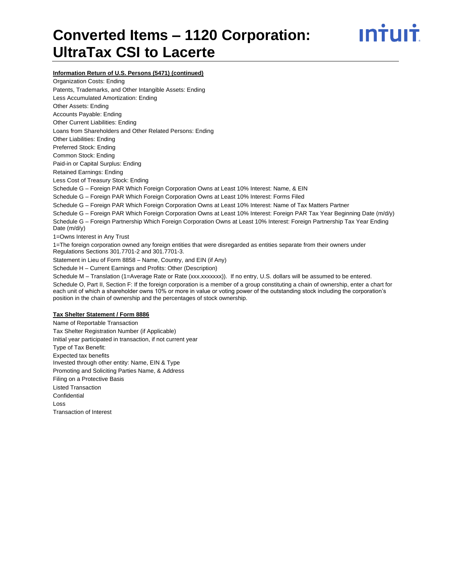

**Information Return of U.S. Persons (5471) (continued)**

Organization Costs: Ending Patents, Trademarks, and Other Intangible Assets: Ending Less Accumulated Amortization: Ending Other Assets: Ending Accounts Payable: Ending Other Current Liabilities: Ending Loans from Shareholders and Other Related Persons: Ending Other Liabilities: Ending Preferred Stock: Ending Common Stock: Ending Paid-in or Capital Surplus: Ending Retained Earnings: Ending Less Cost of Treasury Stock: Ending Schedule G – Foreign PAR Which Foreign Corporation Owns at Least 10% Interest: Name, & EIN Schedule G – Foreign PAR Which Foreign Corporation Owns at Least 10% Interest: Forms Filed Schedule G – Foreign PAR Which Foreign Corporation Owns at Least 10% Interest: Name of Tax Matters Partner Schedule G – Foreign PAR Which Foreign Corporation Owns at Least 10% Interest: Foreign PAR Tax Year Beginning Date (m/d/y) Schedule G – Foreign Partnership Which Foreign Corporation Owns at Least 10% Interest: Foreign Partnership Tax Year Ending Date (m/d/y) 1=Owns Interest in Any Trust 1=The foreign corporation owned any foreign entities that were disregarded as entities separate from their owners under Regulations Sections 301.7701-2 and 301.7701-3. Statement in Lieu of Form 8858 – Name, Country, and EIN (if Any) Schedule H – Current Earnings and Profits: Other (Description) Schedule M – Translation (1=Average Rate or Rate (xxx.xxxxxxx)). If no entry, U.S. dollars will be assumed to be entered. Schedule O, Part II, Section F: If the foreign corporation is a member of a group constituting a chain of ownership, enter a chart for each unit of which a shareholder owns 10% or more in value or voting power of the outstanding stock including the corporation's position in the chain of ownership and the percentages of stock ownership. **Tax Shelter Statement / Form 8886** Name of Reportable Transaction Tax Shelter Registration Number (if Applicable) Initial year participated in transaction, if not current year

Type of Tax Benefit: Expected tax benefits Invested through other entity: Name, EIN & Type Promoting and Soliciting Parties Name, & Address Filing on a Protective Basis Listed Transaction Confidential Loss Transaction of Interest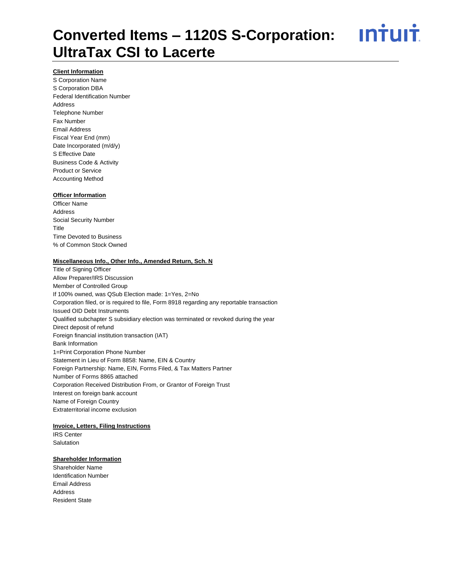<u>**Intuit**</u>

# **Client Information**

S Corporation Name S Corporation DBA Federal Identification Number Address Telephone Number Fax Number Email Address Fiscal Year End (mm) Date Incorporated (m/d/y) S Effective Date Business Code & Activity Product or Service Accounting Method

#### **Officer Information**

Officer Name Address Social Security Number **Title** Time Devoted to Business % of Common Stock Owned

#### **Miscellaneous Info., Other Info., Amended Return, Sch. N**

Title of Signing Officer Allow Preparer/IRS Discussion Member of Controlled Group If 100% owned, was QSub Election made: 1=Yes, 2=No Corporation filed, or is required to file, Form 8918 regarding any reportable transaction Issued OID Debt Instruments Qualified subchapter S subsidiary election was terminated or revoked during the year Direct deposit of refund Foreign financial institution transaction (IAT) Bank Information 1=Print Corporation Phone Number Statement in Lieu of Form 8858: Name, EIN & Country Foreign Partnership: Name, EIN, Forms Filed, & Tax Matters Partner Number of Forms 8865 attached Corporation Received Distribution From, or Grantor of Foreign Trust Interest on foreign bank account Name of Foreign Country Extraterritorial income exclusion

# **Invoice, Letters, Filing Instructions**

IRS Center **Salutation** 

#### **Shareholder Information**

Shareholder Name Identification Number Email Address Address Resident State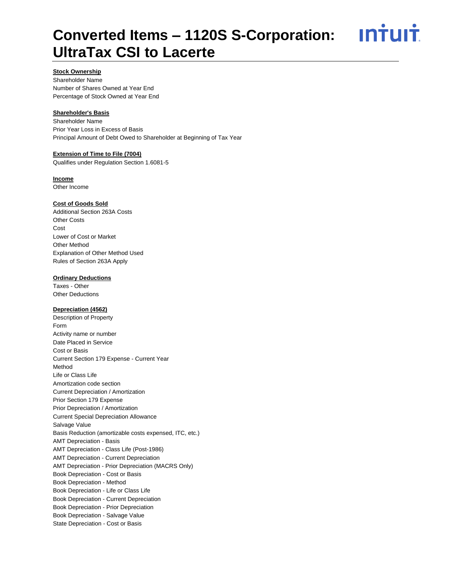<u>**Intuit**</u>

# **Stock Ownership**

Shareholder Name Number of Shares Owned at Year End Percentage of Stock Owned at Year End

## **Shareholder's Basis**

Shareholder Name Prior Year Loss in Excess of Basis Principal Amount of Debt Owed to Shareholder at Beginning of Tax Year

# **Extension of Time to File (7004)**

Qualifies under Regulation Section 1.6081-5

# **Income**

Other Income

### **Cost of Goods Sold**

Additional Section 263A Costs Other Costs Cost Lower of Cost or Market Other Method Explanation of Other Method Used Rules of Section 263A Apply

### **Ordinary Deductions**

Taxes - Other Other Deductions

# **Depreciation (4562)**

Description of Property Form Activity name or number Date Placed in Service Cost or Basis Current Section 179 Expense - Current Year Method Life or Class Life Amortization code section Current Depreciation / Amortization Prior Section 179 Expense Prior Depreciation / Amortization Current Special Depreciation Allowance Salvage Value Basis Reduction (amortizable costs expensed, ITC, etc.) AMT Depreciation - Basis AMT Depreciation - Class Life (Post-1986) AMT Depreciation - Current Depreciation AMT Depreciation - Prior Depreciation (MACRS Only) Book Depreciation - Cost or Basis Book Depreciation - Method Book Depreciation - Life or Class Life Book Depreciation - Current Depreciation Book Depreciation - Prior Depreciation Book Depreciation - Salvage Value State Depreciation - Cost or Basis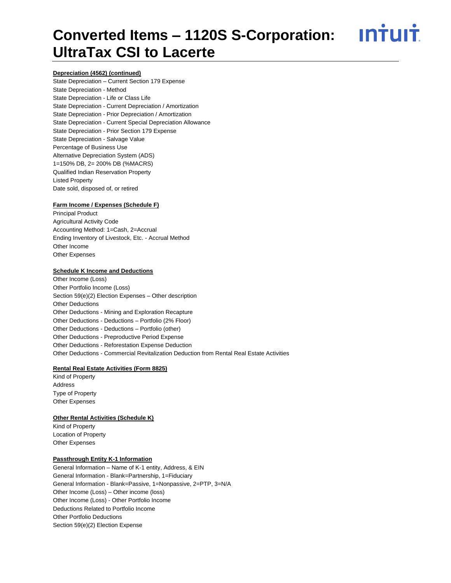<u>ıntuıt</u>

#### **Depreciation (4562) (continued)**

State Depreciation – Current Section 179 Expense State Depreciation - Method State Depreciation - Life or Class Life State Depreciation - Current Depreciation / Amortization State Depreciation - Prior Depreciation / Amortization State Depreciation - Current Special Depreciation Allowance State Depreciation - Prior Section 179 Expense State Depreciation - Salvage Value Percentage of Business Use Alternative Depreciation System (ADS) 1=150% DB, 2= 200% DB (%MACRS) Qualified Indian Reservation Property Listed Property Date sold, disposed of, or retired

#### **Farm Income / Expenses (Schedule F)**

Principal Product Agricultural Activity Code Accounting Method: 1=Cash, 2=Accrual Ending Inventory of Livestock, Etc. - Accrual Method Other Income Other Expenses

#### **Schedule K Income and Deductions**

Other Income (Loss) Other Portfolio Income (Loss) Section 59(e)(2) Election Expenses – Other description Other Deductions Other Deductions - Mining and Exploration Recapture Other Deductions - Deductions – Portfolio (2% Floor) Other Deductions - Deductions – Portfolio (other) Other Deductions - Preproductive Period Expense Other Deductions - Reforestation Expense Deduction Other Deductions - Commercial Revitalization Deduction from Rental Real Estate Activities

#### **Rental Real Estate Activities (Form 8825)**

Kind of Property Address Type of Property Other Expenses

#### **Other Rental Activities (Schedule K)**

Kind of Property Location of Property Other Expenses

## **Passthrough Entity K-1 Information**

General Information – Name of K-1 entity, Address, & EIN General Information - Blank=Partnership, 1=Fiduciary General Information - Blank=Passive, 1=Nonpassive, 2=PTP, 3=N/A Other Income (Loss) – Other income (loss) Other Income (Loss) - Other Portfolio Income Deductions Related to Portfolio Income Other Portfolio Deductions Section 59(e)(2) Election Expense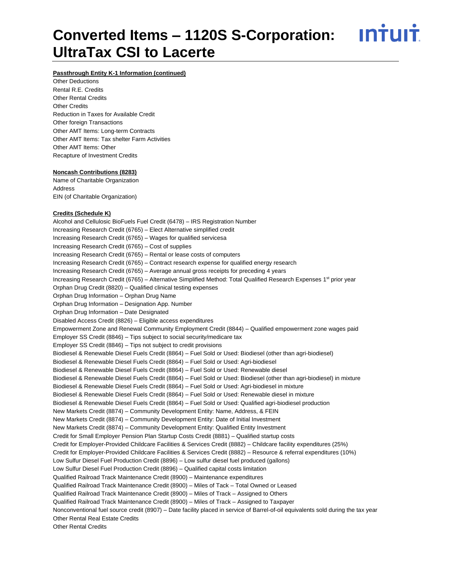<u>ıntuıt</u>

#### **Passthrough Entity K-1 Information (continued)**

Other Deductions Rental R.E. Credits Other Rental Credits Other Credits Reduction in Taxes for Available Credit Other foreign Transactions Other AMT Items: Long-term Contracts Other AMT Items: Tax shelter Farm Activities Other AMT Items: Other Recapture of Investment Credits

#### **Noncash Contributions (8283)**

Name of Charitable Organization Address EIN (of Charitable Organization)

#### **Credits (Schedule K)**

Alcohol and Cellulosic BioFuels Fuel Credit (6478) – IRS Registration Number Increasing Research Credit (6765) – Elect Alternative simplified credit Increasing Research Credit (6765) – Wages for qualified servicesa Increasing Research Credit (6765) – Cost of supplies Increasing Research Credit (6765) – Rental or lease costs of computers Increasing Research Credit (6765) – Contract research expense for qualified energy research Increasing Research Credit (6765) – Average annual gross receipts for preceding 4 years Increasing Research Credit (6765) – Alternative Simplified Method: Total Qualified Research Expenses 1<sup>st</sup> prior year Orphan Drug Credit (8820) – Qualified clinical testing expenses Orphan Drug Information – Orphan Drug Name Orphan Drug Information – Designation App. Number Orphan Drug Information – Date Designated Disabled Access Credit (8826) – Eligible access expenditures Empowerment Zone and Renewal Community Employment Credit (8844) – Qualified empowerment zone wages paid Employer SS Credit (8846) – Tips subject to social security/medicare tax Employer SS Credit (8846) – Tips not subject to credit provisions Biodiesel & Renewable Diesel Fuels Credit (8864) – Fuel Sold or Used: Biodiesel (other than agri-biodiesel) Biodiesel & Renewable Diesel Fuels Credit (8864) – Fuel Sold or Used: Agri-biodiesel Biodiesel & Renewable Diesel Fuels Credit (8864) – Fuel Sold or Used: Renewable diesel Biodiesel & Renewable Diesel Fuels Credit (8864) – Fuel Sold or Used: Biodiesel (other than agri-biodiesel) in mixture Biodiesel & Renewable Diesel Fuels Credit (8864) – Fuel Sold or Used: Agri-biodiesel in mixture Biodiesel & Renewable Diesel Fuels Credit (8864) – Fuel Sold or Used: Renewable diesel in mixture Biodiesel & Renewable Diesel Fuels Credit (8864) – Fuel Sold or Used: Qualified agri-biodiesel production New Markets Credit (8874) – Community Development Entity: Name, Address, & FEIN New Markets Credit (8874) – Community Development Entity: Date of Initial Investment New Markets Credit (8874) – Community Development Entity: Qualified Entity Investment Credit for Small Employer Pension Plan Startup Costs Credit (8881) – Qualified startup costs Credit for Employer-Provided Childcare Facilities & Services Credit (8882) – Childcare facility expenditures (25%) Credit for Employer-Provided Childcare Facilities & Services Credit (8882) – Resource & referral expenditures (10%) Low Sulfur Diesel Fuel Production Credit (8896) – Low sulfur diesel fuel produced (gallons) Low Sulfur Diesel Fuel Production Credit (8896) – Qualified capital costs limitation Qualified Railroad Track Maintenance Credit (8900) – Maintenance expenditures Qualified Railroad Track Maintenance Credit (8900) – Miles of Tack – Total Owned or Leased Qualified Railroad Track Maintenance Credit (8900) – Miles of Track – Assigned to Others Qualified Railroad Track Maintenance Credit (8900) – Miles of Track – Assigned to Taxpayer Nonconventional fuel source credit (8907) – Date facility placed in service of Barrel-of-oil equivalents sold during the tax year Other Rental Real Estate Credits Other Rental Credits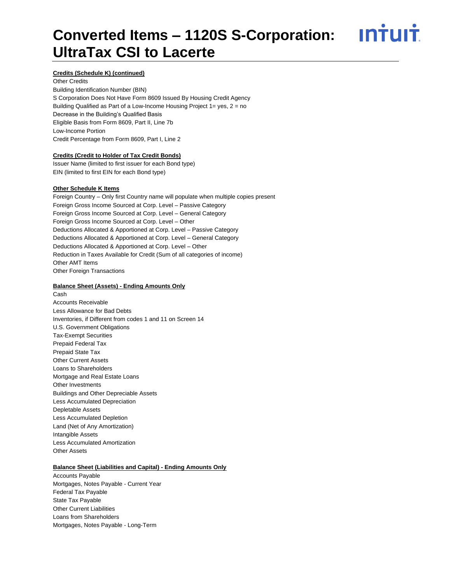ın†uı†

## **Credits (Schedule K) (continued)**

Other Credits Building Identification Number (BIN) S Corporation Does Not Have Form 8609 Issued By Housing Credit Agency Building Qualified as Part of a Low-Income Housing Project 1= yes, 2 = no Decrease in the Building's Qualified Basis Eligible Basis from Form 8609, Part II, Line 7b Low-Income Portion Credit Percentage from Form 8609, Part I, Line 2

#### **Credits (Credit to Holder of Tax Credit Bonds)**

Issuer Name (limited to first issuer for each Bond type) EIN (limited to first EIN for each Bond type)

#### **Other Schedule K Items**

Foreign Country – Only first Country name will populate when multiple copies present Foreign Gross Income Sourced at Corp. Level – Passive Category Foreign Gross Income Sourced at Corp. Level – General Category Foreign Gross Income Sourced at Corp. Level – Other Deductions Allocated & Apportioned at Corp. Level – Passive Category Deductions Allocated & Apportioned at Corp. Level – General Category Deductions Allocated & Apportioned at Corp. Level – Other Reduction in Taxes Available for Credit (Sum of all categories of income) Other AMT Items Other Foreign Transactions

#### **Balance Sheet (Assets) - Ending Amounts Only**

Cash Accounts Receivable Less Allowance for Bad Debts Inventories, if Different from codes 1 and 11 on Screen 14 U.S. Government Obligations Tax-Exempt Securities Prepaid Federal Tax Prepaid State Tax Other Current Assets Loans to Shareholders Mortgage and Real Estate Loans Other Investments Buildings and Other Depreciable Assets Less Accumulated Depreciation Depletable Assets Less Accumulated Depletion Land (Net of Any Amortization) Intangible Assets Less Accumulated Amortization Other Assets

#### **Balance Sheet (Liabilities and Capital) - Ending Amounts Only**

Accounts Payable Mortgages, Notes Payable - Current Year Federal Tax Payable State Tax Payable Other Current Liabilities Loans from Shareholders Mortgages, Notes Payable - Long-Term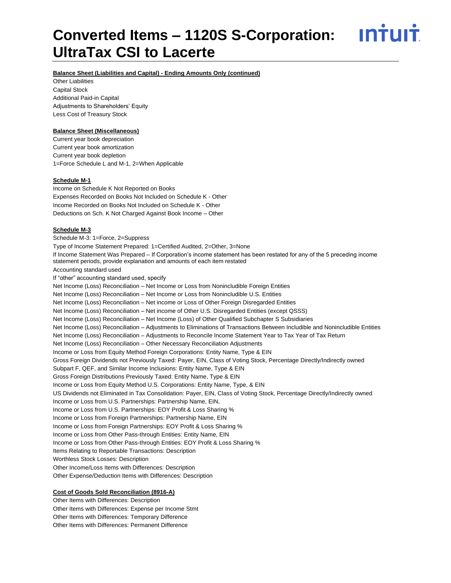<u> ıntuıt</u>

# **Balance Sheet (Liabilities and Capital) - Ending Amounts Only (continued)**

Other Liabilities Capital Stock Additional Paid-in Capital Adjustments to Shareholders' Equity Less Cost of Treasury Stock

## **Balance Sheet (Miscellaneous)**

Current year book depreciation Current year book amortization Current year book depletion 1=Force Schedule L and M-1, 2=When Applicable

### **Schedule M-1**

Income on Schedule K Not Reported on Books Expenses Recorded on Books Not Included on Schedule K - Other Income Recorded on Books Not Included on Schedule K - Other Deductions on Sch. K Not Charged Against Book Income – Other

### **Schedule M-3**

Schedule M-3: 1=Force, 2=Suppress Type of Income Statement Prepared: 1=Certified Audited, 2=Other, 3=None If Income Statement Was Prepared – If Corporation's income statement has been restated for any of the 5 preceding income statement periods, provide explanation and amounts of each item restated Accounting standard used If "other" accounting standard used, specify Net Income (Loss) Reconciliation – Net Income or Loss from Nonincludible Foreign Entities Net Income (Loss) Reconciliation – Net Income or Loss from Nonincludible U.S. Entities Net Income (Loss) Reconciliation – Net income or Loss of Other Foreign Disregarded Entities Net Income (Loss) Reconciliation – Net income of Other U.S. Disregarded Entities (except QSSS) Net Income (Loss) Reconciliation – Net Income (Loss) of Other Qualified Subchapter S Subsidiaries Net Income (Loss) Reconciliation – Adjustments to Eliminations of Transactions Between Includible and Nonincludible Entities Net Income (Loss) Reconciliation – Adjustments to Reconcile Income Statement Year to Tax Year of Tax Return Net Income (Loss) Reconciliation – Other Necessary Reconciliation Adjustments Income or Loss from Equity Method Foreign Corporations: Entity Name, Type & EIN Gross Foreign Dividends not Previously Taxed: Payer, EIN, Class of Voting Stock, Percentage Directly/Indirectly owned Subpart F, QEF, and Similar Income Inclusions: Entity Name, Type & EIN Gross Foreign Distributions Previously Taxed: Entity Name, Type & EIN Income or Loss from Equity Method U.S. Corporations: Entity Name, Type, & EIN US Dividends not Eliminated in Tax Consolidation: Payer, EIN, Class of Voting Stock, Percentage Directly/Indirectly owned Income or Loss from U.S. Partnerships: Partnership Name, EIN, Income or Loss from U.S. Partnerships: EOY Profit & Loss Sharing % Income or Loss from Foreign Partnerships: Partnership Name, EIN Income or Loss from Foreign Partnerships: EOY Profit & Loss Sharing % Income or Loss from Other Pass-through Entities: Entity Name, EIN Income or Loss from Other Pass-through Entities: EOY Profit & Loss Sharing % Items Relating to Reportable Transactions: Description Worthless Stock Losses: Description Other Income/Loss Items with Differences: Description Other Expense/Deduction Items with Differences: Description

#### **Cost of Goods Sold Reconciliation (8916-A)**

Other Items with Differences: Description Other Items with Differences: Expense per Income Stmt Other Items with Differences: Temporary Difference Other Items with Differences: Permanent Difference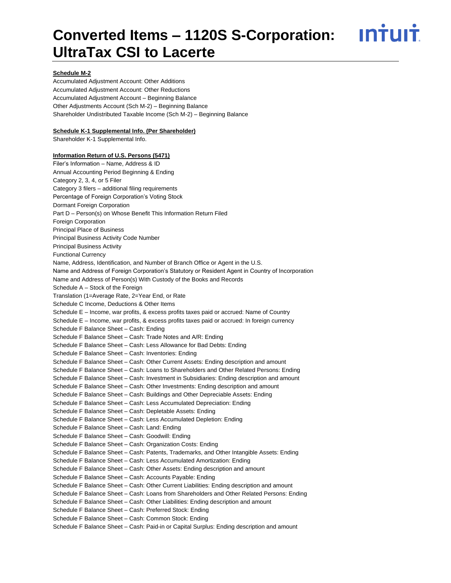<u>ıntuıt</u>

### **Schedule M-2**

Accumulated Adjustment Account: Other Additions Accumulated Adjustment Account: Other Reductions Accumulated Adjustment Account – Beginning Balance Other Adjustments Account (Sch M-2) – Beginning Balance Shareholder Undistributed Taxable Income (Sch M-2) – Beginning Balance

## **Schedule K-1 Supplemental Info. (Per Shareholder)**

Shareholder K-1 Supplemental Info.

#### **Information Return of U.S. Persons (5471)**

Filer's Information – Name, Address & ID Annual Accounting Period Beginning & Ending Category 2, 3, 4, or 5 Filer Category 3 filers – additional filing requirements Percentage of Foreign Corporation's Voting Stock Dormant Foreign Corporation Part D – Person(s) on Whose Benefit This Information Return Filed Foreign Corporation Principal Place of Business Principal Business Activity Code Number Principal Business Activity Functional Currency Name, Address, Identification, and Number of Branch Office or Agent in the U.S. Name and Address of Foreign Corporation's Statutory or Resident Agent in Country of Incorporation Name and Address of Person(s) With Custody of the Books and Records Schedule A – Stock of the Foreign Translation (1=Average Rate, 2=Year End, or Rate Schedule C Income, Deductions & Other Items Schedule E – Income, war profits, & excess profits taxes paid or accrued: Name of Country Schedule E – Income, war profits, & excess profits taxes paid or accrued: In foreign currency Schedule F Balance Sheet – Cash: Ending Schedule F Balance Sheet – Cash: Trade Notes and A/R: Ending Schedule F Balance Sheet – Cash: Less Allowance for Bad Debts: Ending Schedule F Balance Sheet – Cash: Inventories: Ending Schedule F Balance Sheet – Cash: Other Current Assets: Ending description and amount Schedule F Balance Sheet – Cash: Loans to Shareholders and Other Related Persons: Ending Schedule F Balance Sheet – Cash: Investment in Subsidiaries: Ending description and amount Schedule F Balance Sheet – Cash: Other Investments: Ending description and amount Schedule F Balance Sheet – Cash: Buildings and Other Depreciable Assets: Ending Schedule F Balance Sheet – Cash: Less Accumulated Depreciation: Ending Schedule F Balance Sheet – Cash: Depletable Assets: Ending Schedule F Balance Sheet – Cash: Less Accumulated Depletion: Ending Schedule F Balance Sheet – Cash: Land: Ending Schedule F Balance Sheet – Cash: Goodwill: Ending Schedule F Balance Sheet – Cash: Organization Costs: Ending Schedule F Balance Sheet – Cash: Patents, Trademarks, and Other Intangible Assets: Ending Schedule F Balance Sheet – Cash: Less Accumulated Amortization: Ending Schedule F Balance Sheet – Cash: Other Assets: Ending description and amount Schedule F Balance Sheet – Cash: Accounts Payable: Ending Schedule F Balance Sheet – Cash: Other Current Liabilities: Ending description and amount Schedule F Balance Sheet – Cash: Loans from Shareholders and Other Related Persons: Ending Schedule F Balance Sheet – Cash: Other Liabilities: Ending description and amount Schedule F Balance Sheet – Cash: Preferred Stock: Ending Schedule F Balance Sheet – Cash: Common Stock: Ending Schedule F Balance Sheet – Cash: Paid-in or Capital Surplus: Ending description and amount